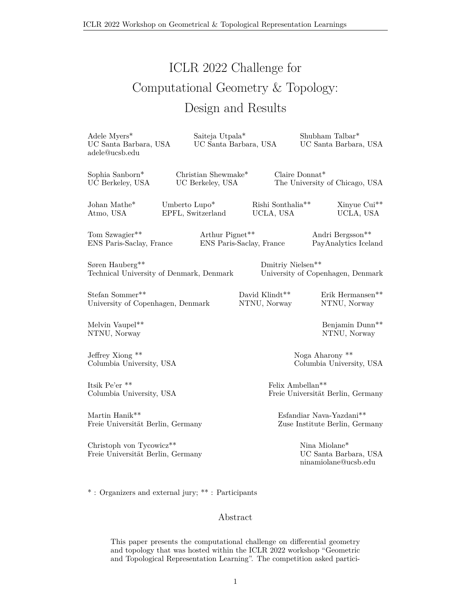ICLR 2022 Workshop on Geometrical & Topological Representation Learnings

# ICLR 2022 Challenge for Computational Geometry & Topology: Design and Results

Adele Myers\* UC Santa Barbara, USA adele@ucsb.edu Saiteja Utpala\* UC Santa Barbara, USA Shubham Talbar\* UC Santa Barbara, USA Sophia Sanborn\* UC Berkeley, USA Christian Shewmake\* UC Berkeley, USA Claire Donnat\* The University of Chicago, USA Atmo, USA Umberto Lupo\* EPFL, Switzerland Rishi Sonthalia\*\* UCLA, USA Xinyue Cui\*\* UCLA, USA Tom Szwagier\*\* ENS Paris-Saclay, France Arthur Pignet\*\* ENS Paris-Saclay, France Andri Bergsson\*\* PayAnalytics Iceland Søren Hauberg\*\* Technical University of Denmark, Denmark Dmitriy Nielsen\*\* University of Copenhagen, Denmark Stefan Sommer\*\* University of Copenhagen, Denmark David Klindt\*\* NTNU, Norway Erik Hermansen\*\* NTNU, Norway Melvin Vaupel\*\* NTNU, Norway Benjamin Dunn\*\* NTNU, Norway Jeffrey Xiong \*\* Columbia University, USA Noga Aharony \*\* Columbia University, USA Itsik Pe'er \*\* Columbia University, USA Felix Ambellan\*\* Freie Universität Berlin, Germany

Martin Hanik\*\* Freie Universität Berlin, Germany

Christoph von Tycowicz\*\* Freie Universität Berlin, Germany Esfandiar Nava-Yazdani\*\* Zuse Institute Berlin, Germany

> Nina Miolane\* UC Santa Barbara, USA ninamiolane@ucsb.edu

\* : Organizers and external jury; \*\* : Participants

#### Abstract

This paper presents the computational challenge on differential geometry and topology that was hosted within the ICLR 2022 workshop "Geometric and Topological Representation Learning". The competition asked partici-

Johan Mathe\*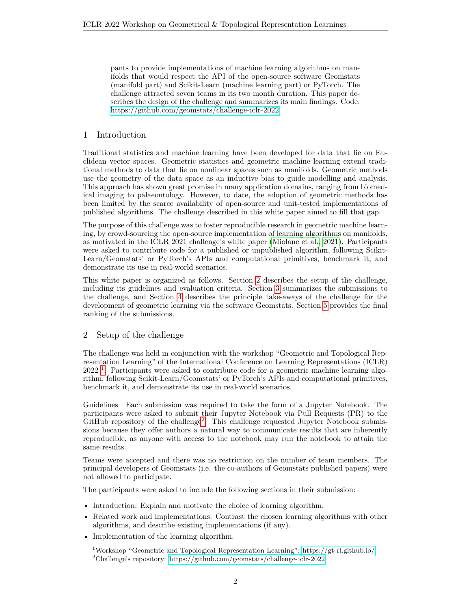pants to provide implementations of machine learning algorithms on manifolds that would respect the API of the open-source software Geomstats (manifold part) and Scikit-Learn (machine learning part) or PyTorch. The challenge attracted seven teams in its two month duration. This paper describes the design of the challenge and summarizes its main findings. Code: [https://github.com/geomstats/challenge-iclr-2022.](https://github.com/geomstats/challenge-iclr-2022)

# 1 Introduction

Traditional statistics and machine learning have been developed for data that lie on Euclidean vector spaces. Geometric statistics and geometric machine learning extend traditional methods to data that lie on nonlinear spaces such as manifolds. Geometric methods use the geometry of the data space as an inductive bias to guide modelling and analysis. This approach has shown great promise in many application domains, ranging from biomedical imaging to palaeontology. However, to date, the adoption of geometric methods has been limited by the scarce availability of open-source and unit-tested implementations of published algorithms. The challenge described in this white paper aimed to fill that gap.

The purpose of this challenge was to foster reproducible research in geometric machine learning, by crowd-sourcing the open-source implementation of learning algorithms on manifolds, as motivated in the ICLR 2021 challenge's white paper [\(Miolane et al., 2021\)](#page-7-0). Participants were asked to contribute code for a published or unpublished algorithm, following Scikit-Learn/Geomstats' or PyTorch's APIs and computational primitives, benchmark it, and demonstrate its use in real-world scenarios.

This white paper is organized as follows. Section [2](#page-1-0) describes the setup of the challenge, including its guidelines and evaluation criteria. Section [3](#page-2-0) summarizes the submissions to the challenge, and Section [4](#page-5-0) describes the principle take-aways of the challenge for the development of geometric learning via the software Geomstats. Section [5](#page-5-1) provides the final ranking of the submissions.

## <span id="page-1-0"></span>2 Setup of the challenge

The challenge was held in conjunction with the workshop "Geometric and Topological Representation Learning" of the International Conference on Learning Representations (ICLR) 2022<sup>[1](#page-1-1)</sup>. Participants were asked to contribute code for a geometric machine learning algorithm, following Scikit-Learn/Geomstats' or PyTorch's APIs and computational primitives, benchmark it, and demonstrate its use in real-world scenarios.

Guidelines Each submission was required to take the form of a Jupyter Notebook. The participants were asked to submit their Jupyter Notebook via Pull Requests (PR) to the GitHub repository of the challenge<sup>[2](#page-1-2)</sup>. This challenge requested Jupyter Notebook submissions because they offer authors a natural way to communicate results that are inherently reproducible, as anyone with access to the notebook may run the notebook to attain the same results.

Teams were accepted and there was no restriction on the number of team members. The principal developers of Geomstats (i.e. the co-authors of Geomstats published papers) were not allowed to participate.

The participants were asked to include the following sections in their submission:

- Introduction: Explain and motivate the choice of learning algorithm.
- Related work and implementations: Contrast the chosen learning algorithms with other algorithms, and describe existing implementations (if any).
- Implementation of the learning algorithm.

<span id="page-1-2"></span><span id="page-1-1"></span><sup>&</sup>lt;sup>1</sup>Workshop "Geometric and Topological Representation Learning":<https://gt-rl.github.io/> <sup>2</sup>Challenge's repository:<https://github.com/geomstats/challenge-iclr-2022>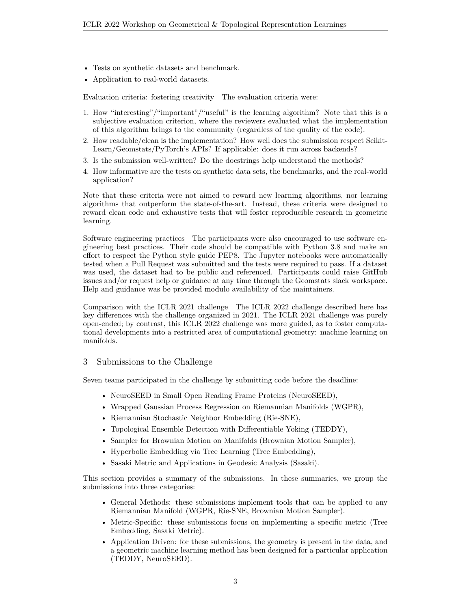- Tests on synthetic datasets and benchmark.
- Application to real-world datasets.

Evaluation criteria: fostering creativity The evaluation criteria were:

- 1. How "interesting"/"important"/"useful" is the learning algorithm? Note that this is a subjective evaluation criterion, where the reviewers evaluated what the implementation of this algorithm brings to the community (regardless of the quality of the code).
- 2. How readable/clean is the implementation? How well does the submission respect Scikit-Learn/Geomstats/PyTorch's APIs? If applicable: does it run across backends?
- 3. Is the submission well-written? Do the docstrings help understand the methods?
- 4. How informative are the tests on synthetic data sets, the benchmarks, and the real-world application?

Note that these criteria were not aimed to reward new learning algorithms, nor learning algorithms that outperform the state-of-the-art. Instead, these criteria were designed to reward clean code and exhaustive tests that will foster reproducible research in geometric learning.

Software engineering practices The participants were also encouraged to use software engineering best practices. Their code should be compatible with Python 3.8 and make an effort to respect the Python style guide PEP8. The Jupyter notebooks were automatically tested when a Pull Request was submitted and the tests were required to pass. If a dataset was used, the dataset had to be public and referenced. Participants could raise GitHub issues and/or request help or guidance at any time through the Geomstats slack workspace. Help and guidance was be provided modulo availability of the maintainers.

Comparison with the ICLR 2021 challenge The ICLR 2022 challenge described here has key differences with the challenge organized in 2021. The ICLR 2021 challenge was purely open-ended; by contrast, this ICLR 2022 challenge was more guided, as to foster computational developments into a restricted area of computational geometry: machine learning on manifolds.

## <span id="page-2-0"></span>3 Submissions to the Challenge

Seven teams participated in the challenge by submitting code before the deadline:

- NeuroSEED in Small Open Reading Frame Proteins (NeuroSEED),
- Wrapped Gaussian Process Regression on Riemannian Manifolds (WGPR),
- Riemannian Stochastic Neighbor Embedding (Rie-SNE),
- Topological Ensemble Detection with Differentiable Yoking (TEDDY),
- Sampler for Brownian Motion on Manifolds (Brownian Motion Sampler),
- Hyperbolic Embedding via Tree Learning (Tree Embedding),
- Sasaki Metric and Applications in Geodesic Analysis (Sasaki).

This section provides a summary of the submissions. In these summaries, we group the submissions into three categories:

- General Methods: these submissions implement tools that can be applied to any Riemannian Manifold (WGPR, Rie-SNE, Brownian Motion Sampler).
- Metric-Specific: these submissions focus on implementing a specific metric (Tree Embedding, Sasaki Metric).
- Application Driven: for these submissions, the geometry is present in the data, and a geometric machine learning method has been designed for a particular application (TEDDY, NeuroSEED).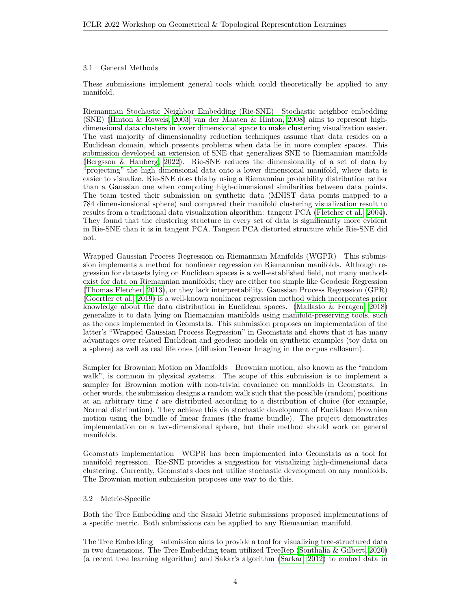#### 3.1 General Methods

These submissions implement general tools which could theoretically be applied to any manifold.

Riemannian Stochastic Neighbor Embedding (Rie-SNE) Stochastic neighbor embedding (SNE) [\(Hinton & Roweis, 2003;](#page-7-1) [van der Maaten & Hinton, 2008\)](#page-7-2) aims to represent highdimensional data clusters in lower dimensional space to make clustering visualization easier. The vast majority of dimensionality reduction techniques assume that data resides on a Euclidean domain, which presents problems when data lie in more complex spaces. This submission developed an extension of SNE that generalizes SNE to Riemannian manifolds [\(Bergsson & Hauberg, 2022\)](#page-6-0). Rie-SNE reduces the dimensionality of a set of data by "projecting" the high dimensional data onto a lower dimensional manifold, where data is easier to visualize. Rie-SNE does this by using a Riemannian probability distribution rather than a Gaussian one when computing high-dimensional similarities between data points. The team tested their submission on synthetic data (MNIST data points mapped to a 784 dimensionsional sphere) and compared their manifold clustering visualization result to results from a traditional data visualization algorithm: tangent PCA [\(Fletcher et al., 2004\)](#page-6-1). They found that the clustering structure in every set of data is significantly more evident in Rie-SNE than it is in tangent PCA. Tangent PCA distorted structure while Rie-SNE did not.

Wrapped Gaussian Process Regression on Riemannian Manifolds (WGPR) This submission implements a method for nonlinear regression on Riemannian manifolds. Although regression for datasets lying on Euclidean spaces is a well-established field, not many methods exist for data on Riemannian manifolds; they are either too simple like Geodesic Regression [\(Thomas Fletcher, 2013\)](#page-7-3), or they lack interpretability. Gaussian Process Regression (GPR) [\(Goertler et al., 2019\)](#page-7-4) is a well-known nonlinear regression method which incorporates prior knowledge about the data distribution in Euclidean spaces. [\(Mallasto & Feragen, 2018\)](#page-7-5) generalize it to data lying on Riemannian manifolds using manifold-preserving tools, such as the ones implemented in Geomstats. This submission proposes an implementation of the latter's "Wrapped Gaussian Process Regression" in Geomstats and shows that it has many advantages over related Euclidean and geodesic models on synthetic examples (toy data on a sphere) as well as real life ones (diffusion Tensor Imaging in the corpus callosum).

Sampler for Brownian Motion on Manifolds Brownian motion, also known as the "random walk", is common in physical systems. The scope of this submission is to implement a sampler for Brownian motion with non-trivial covariance on manifolds in Geomstats. In other words, the submission designs a random walk such that the possible (random) positions at an arbitrary time  $t$  are distributed according to a distribution of choice (for example, Normal distribution). They achieve this via stochastic development of Euclidean Brownian motion using the bundle of linear frames (the frame bundle). The project demonstrates implementation on a two-dimensional sphere, but their method should work on general manifolds.

Geomstats implementation WGPR has been implemented into Geomstats as a tool for manifold regression. Rie-SNE provides a suggestion for visualizing high-dimensional data clustering. Currently, Geomstats does not utilize stochastic development on any manifolds. The Brownian motion submission proposes one way to do this.

#### 3.2 Metric-Specific

Both the Tree Embedding and the Sasaki Metric submissions proposed implementations of a specific metric. Both submissions can be applied to any Riemannian manifold.

The Tree Embedding submission aims to provide a tool for visualizing tree-structured data in two dimensions. The Tree Embedding team utilized TreeRep [\(Sonthalia & Gilbert, 2020\)](#page-7-6) (a recent tree learning algorithm) and Sakar's algorithm [\(Sarkar, 2012\)](#page-7-7) to embed data in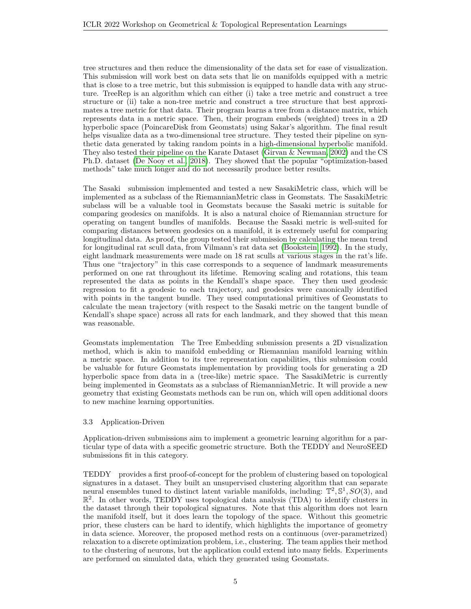tree structures and then reduce the dimensionality of the data set for ease of visualization. This submission will work best on data sets that lie on manifolds equipped with a metric that is close to a tree metric, but this submission is equipped to handle data with any structure. TreeRep is an algorithm which can either (i) take a tree metric and construct a tree structure or (ii) take a non-tree metric and construct a tree structure that best approximates a tree metric for that data. Their program learns a tree from a distance matrix, which represents data in a metric space. Then, their program embeds (weighted) trees in a 2D hyperbolic space (PoincareDisk from Geomstats) using Sakar's algorithm. The final result helps visualize data as a two-dimensional tree structure. They tested their pipeline on synthetic data generated by taking random points in a high-dimensional hyperbolic manifold. They also tested their pipeline on the Karate Dataset [\(Girvan & Newman, 2002\)](#page-7-8) and the CS Ph.D. dataset [\(De Nooy et al., 2018\)](#page-6-2). They showed that the popular "optimization-based methods" take much longer and do not necessarily produce better results.

The Sasaki submission implemented and tested a new SasakiMetric class, which will be implemented as a subclass of the RiemannianMetric class in Geomstats. The SasakiMetric subclass will be a valuable tool in Geomstats because the Sasaki metric is suitable for comparing geodesics on manifolds. It is also a natural choice of Riemannian structure for operating on tangent bundles of manifolds. Because the Sasaki metric is well-suited for comparing distances between geodesics on a manifold, it is extremely useful for comparing longitudinal data. As proof, the group tested their submission by calculating the mean trend for longitudinal rat scull data, from Vilmann's rat data set [\(Bookstein, 1992\)](#page-6-3). In the study, eight landmark measurements were made on 18 rat sculls at various stages in the rat's life. Thus one "trajectory" in this case corresponds to a sequence of landmark measurements performed on one rat throughout its lifetime. Removing scaling and rotations, this team represented the data as points in the Kendall's shape space. They then used geodesic regression to fit a geodesic to each trajectory, and geodesics were canonically identified with points in the tangent bundle. They used computational primitives of Geomstats to calculate the mean trajectory (with respect to the Sasaki metric on the tangent bundle of Kendall's shape space) across all rats for each landmark, and they showed that this mean was reasonable.

Geomstats implementation The Tree Embedding submission presents a 2D visualization method, which is akin to manifold embedding or Riemannian manifold learning within a metric space. In addition to its tree representation capabilities, this submission could be valuable for future Geomstats implementation by providing tools for generating a 2D hyperbolic space from data in a (tree-like) metric space. The SasakiMetric is currently being implemented in Geomstats as a subclass of RiemannianMetric. It will provide a new geometry that existing Geomstats methods can be run on, which will open additional doors to new machine learning opportunities.

#### 3.3 Application-Driven

Application-driven submissions aim to implement a geometric learning algorithm for a particular type of data with a specific geometric structure. Both the TEDDY and NeuroSEED submissions fit in this category.

TEDDY provides a first proof-of-concept for the problem of clustering based on topological signatures in a dataset. They built an unsupervised clustering algorithm that can separate neural ensembles tuned to distinct latent variable manifolds, including:  $\mathbb{T}^2$ ,  $\mathbb{S}^1$ ,  $SO(3)$ , and  $\mathbb{R}^2$ . In other words, TEDDY uses topological data analysis (TDA) to identify clusters in the dataset through their topological signatures. Note that this algorithm does not learn the manifold itself, but it does learn the topology of the space. Without this geometric prior, these clusters can be hard to identify, which highlights the importance of geometry in data science. Moreover, the proposed method rests on a continuous (over-parametrized) relaxation to a discrete optimization problem, i.e., clustering. The team applies their method to the clustering of neurons, but the application could extend into many fields. Experiments are performed on simulated data, which they generated using Geomstats.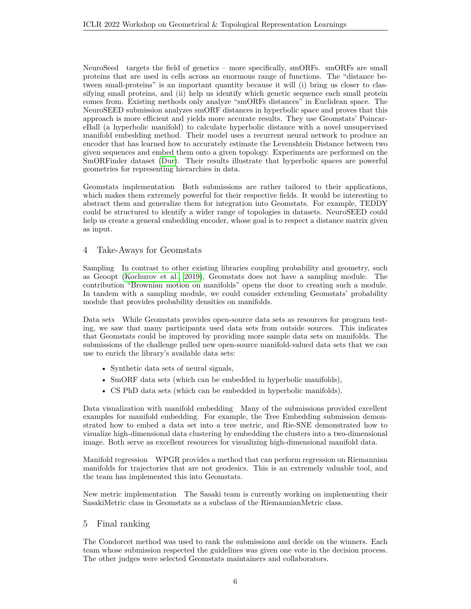NeuroSeed targets the field of genetics – more specifically, smORFs. smORFs are small proteins that are used in cells across an enormous range of functions. The "distance between small-proteins" is an important quantity because it will (i) bring us closer to classifying small proteins, and (ii) help us identify which genetic sequence each small protein comes from. Existing methods only analyze "smORFs distances" in Euclidean space. The NeuroSEED submission analyzes smORF distances in hyperbolic space and proves that this approach is more efficient and yields more accurate results. They use Geomstats' PoincareBall (a hyperbolic manifold) to calculate hyperbolic distance with a novel unsupervised manifold embedding method. Their model uses a recurrent neural network to produce an encoder that has learned how to accurately estimate the Levenshtein Distance between two given sequences and embed them onto a given topology. Experiments are performed on the SmORFinder dataset [\(Dur\)](#page-6-4). Their results illustrate that hyperbolic spaces are powerful geometries for representing hierarchies in data.

Geomstats implementation Both submissions are rather tailored to their applications, which makes them extremely powerful for their respective fields. It would be interesting to abstract them and generalize them for integration into Geomstats. For example, TEDDY could be structured to identify a wider range of topologies in datasets. NeuroSEED could help us create a general embedding encoder, whose goal is to respect a distance matrix given as input.

# <span id="page-5-0"></span>4 Take-Aways for Geomstats

Sampling In contrast to other existing libraries coupling probability and geometry, such as Geoopt [\(Kochurov et al., 2019\)](#page-7-9), Geomstats does not have a sampling module. The contribution "Brownian motion on manifolds" opens the door to creating such a module. In tandem with a sampling module, we could consider extending Geomstats' probability module that provides probability densities on manifolds.

Data sets While Geomstats provides open-source data sets as resources for program testing, we saw that many participants used data sets from outside sources. This indicates that Geomstats could be improved by providing more sample data sets on manifolds. The submissions of the challenge pulled new open-source manifold-valued data sets that we can use to enrich the library's available data sets:

- Synthetic data sets of neural signals,
- SmORF data sets (which can be embedded in hyperbolic manifolds),
- CS PhD data sets (which can be embedded in hyperbolic manifolds).

Data visualization with manifold embedding Many of the submissions provided excellent examples for manifold embedding. For example, the Tree Embedding submission demonstrated how to embed a data set into a tree metric, and Rie-SNE demonstrated how to visualize high-dimensional data clustering by embedding the clusters into a two-dimensional image. Both serve as excellent resources for visualizing high-dimensional manifold data.

Manifold regression WPGR provides a method that can perform regression on Riemannian manifolds for trajectories that are not geodesics. This is an extremely valuable tool, and the team has implemented this into Geomstats.

New metric implementation The Sasaki team is currently working on implementing their SasakiMetric class in Geomstats as a subclass of the RiemannianMetric class.

## <span id="page-5-1"></span>5 Final ranking

The Condorcet method was used to rank the submissions and decide on the winners. Each team whose submission respected the guidelines was given one vote in the decision process. The other judges were selected Geomstats maintainers and collaborators.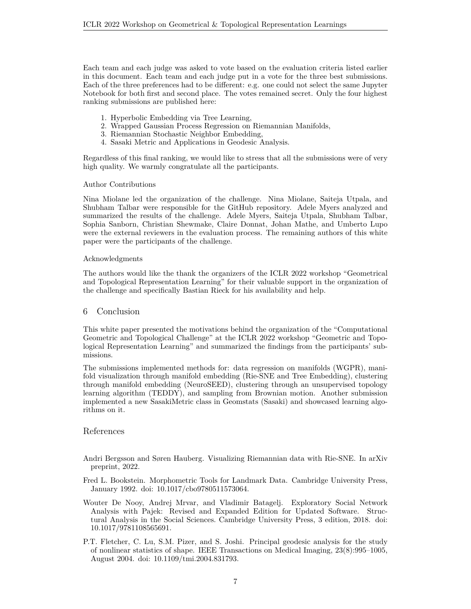Each team and each judge was asked to vote based on the evaluation criteria listed earlier in this document. Each team and each judge put in a vote for the three best submissions. Each of the three preferences had to be different: e.g. one could not select the same Jupyter Notebook for both first and second place. The votes remained secret. Only the four highest ranking submissions are published here:

- 1. Hyperbolic Embedding via Tree Learning,
- 2. Wrapped Gaussian Process Regression on Riemannian Manifolds,
- 3. Riemannian Stochastic Neighbor Embedding,
- 4. Sasaki Metric and Applications in Geodesic Analysis.

Regardless of this final ranking, we would like to stress that all the submissions were of very high quality. We warmly congratulate all the participants.

#### Author Contributions

Nina Miolane led the organization of the challenge. Nina Miolane, Saiteja Utpala, and Shubham Talbar were responsible for the GitHub repository. Adele Myers analyzed and summarized the results of the challenge. Adele Myers, Saiteja Utpala, Shubham Talbar, Sophia Sanborn, Christian Shewmake, Claire Donnat, Johan Mathe, and Umberto Lupo were the external reviewers in the evaluation process. The remaining authors of this white paper were the participants of the challenge.

#### Acknowledgments

The authors would like the thank the organizers of the ICLR 2022 workshop "Geometrical and Topological Representation Learning" for their valuable support in the organization of the challenge and specifically Bastian Rieck for his availability and help.

#### 6 Conclusion

This white paper presented the motivations behind the organization of the "Computational Geometric and Topological Challenge" at the ICLR 2022 workshop "Geometric and Topological Representation Learning" and summarized the findings from the participants' submissions.

The submissions implemented methods for: data regression on manifolds (WGPR), manifold visualization through manifold embedding (Rie-SNE and Tree Embedding), clustering through manifold embedding (NeuroSEED), clustering through an unsupervised topology learning algorithm (TEDDY), and sampling from Brownian motion. Another submission implemented a new SasakiMetric class in Geomstats (Sasaki) and showcased learning algorithms on it.

#### <span id="page-6-4"></span>References

- <span id="page-6-0"></span>Andri Bergsson and Søren Hauberg. Visualizing Riemannian data with Rie-SNE. In arXiv preprint, 2022.
- <span id="page-6-3"></span>Fred L. Bookstein. Morphometric Tools for Landmark Data. Cambridge University Press, January 1992. doi: 10.1017/cbo9780511573064.
- <span id="page-6-2"></span>Wouter De Nooy, Andrej Mrvar, and Vladimir Batagelj. Exploratory Social Network Analysis with Pajek: Revised and Expanded Edition for Updated Software. Structural Analysis in the Social Sciences. Cambridge University Press, 3 edition, 2018. doi: 10.1017/9781108565691.
- <span id="page-6-1"></span>P.T. Fletcher, C. Lu, S.M. Pizer, and S. Joshi. Principal geodesic analysis for the study of nonlinear statistics of shape. IEEE Transactions on Medical Imaging, 23(8):995–1005, August 2004. doi: 10.1109/tmi.2004.831793.